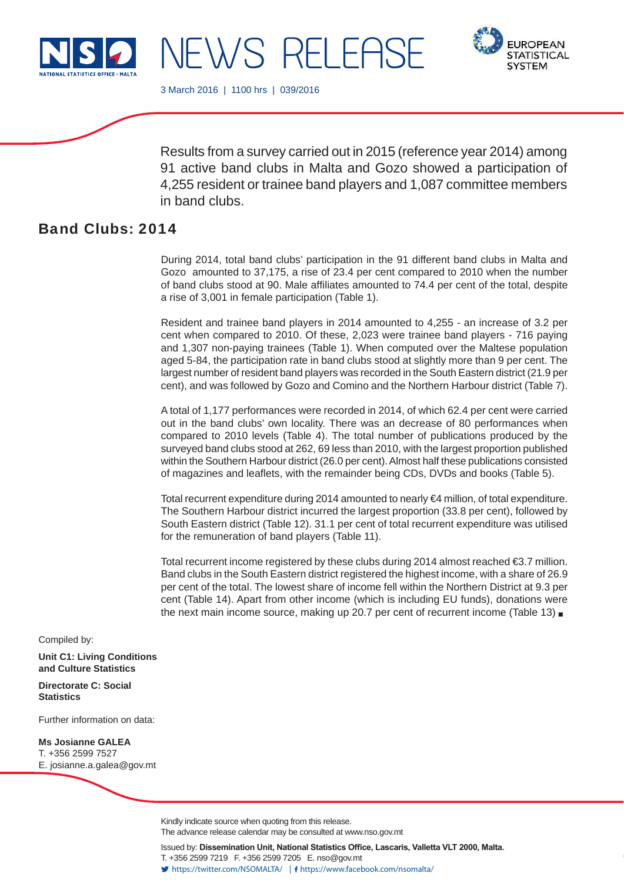

**EUROPEAN STATISTICAL SYSTEM** 

3 March 2016 | 1100 hrs | 039/2016

NEWS RELEAS

Results from a survey carried out in 2015 (reference year 2014) among 91 active band clubs in Malta and Gozo showed a participation of 4,255 resident or trainee band players and 1,087 committee members in band clubs.

# Band Clubs: 2014

During 2014, total band clubs' participation in the 91 different band clubs in Malta and Gozo amounted to 37,175, a rise of 23.4 per cent compared to 2010 when the number of band clubs stood at 90. Male affiliates amounted to 74.4 per cent of the total, despite a rise of 3,001 in female participation (Table 1).

Resident and trainee band players in 2014 amounted to 4,255 - an increase of 3.2 per cent when compared to 2010. Of these, 2,023 were trainee band players - 716 paying and 1,307 non-paying trainees (Table 1). When computed over the Maltese population aged 5-84, the participation rate in band clubs stood at slightly more than 9 per cent. The largest number of resident band players was recorded in the South Eastern district (21.9 per cent), and was followed by Gozo and Comino and the Northern Harbour district (Table 7).

A total of 1,177 performances were recorded in 2014, of which 62.4 per cent were carried out in the band clubs' own locality. There was an decrease of 80 performances when compared to 2010 levels (Table 4). The total number of publications produced by the surveyed band clubs stood at 262, 69 less than 2010, with the largest proportion published within the Southern Harbour district (26.0 per cent). Almost half these publications consisted of magazines and leaflets, with the remainder being CDs, DVDs and books (Table 5).

Total recurrent expenditure during 2014 amounted to nearly €4 million, of total expenditure. The Southern Harbour district incurred the largest proportion (33.8 per cent), followed by South Eastern district (Table 12). 31.1 per cent of total recurrent expenditure was utilised for the remuneration of band players (Table 11).

Total recurrent income registered by these clubs during 2014 almost reached  $\epsilon$ 3.7 million. Band clubs in the South Eastern district registered the highest income, with a share of 26.9 per cent of the total. The lowest share of income fell within the Northern District at 9.3 per cent (Table 14). Apart from other income (which is including EU funds), donations were the next main income source, making up 20.7 per cent of recurrent income (Table 13)

Compiled by:

**Unit C1: Living Conditions and Culture Statistics**

**Directorate C: Social Statistics**

Further information on data:

**Ms Josianne GALEA**  T. +356 2599 7527 E. josianne.a.galea@gov.mt

> Kindly indicate source when quoting from this release. The advance release calendar may be consulted at www.nso.gov.mt

Issued by: Dissemination Unit, National Statistics Office, Lascaris, Valletta VLT 2000, Malta. T. +356 2599 7219 F. +356 2599 7205 E. nso@gov.mt https://twitter.com/NSOMALTA/ https://www.facebook.com/nsomalta/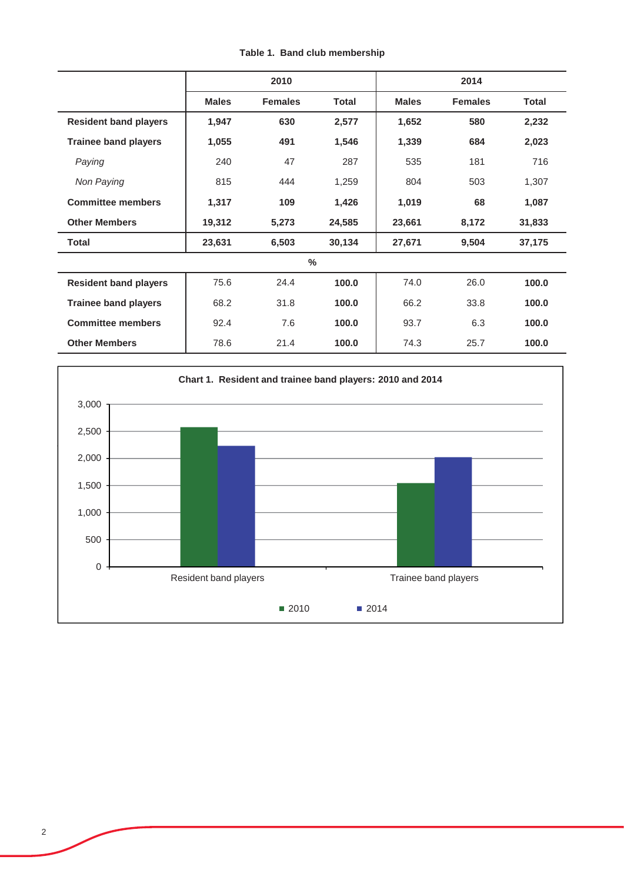|                              |              | 2010           |              | 2014         |                |              |
|------------------------------|--------------|----------------|--------------|--------------|----------------|--------------|
|                              | <b>Males</b> | <b>Females</b> | <b>Total</b> | <b>Males</b> | <b>Females</b> | <b>Total</b> |
| <b>Resident band players</b> | 1,947        | 630            | 2,577        | 1,652        | 580            | 2,232        |
| <b>Trainee band players</b>  | 1,055        | 491            | 1,546        | 1,339        | 684            | 2,023        |
| Paying                       | 240          | 47             | 287          | 535          | 181            | 716          |
| Non Paying                   | 815          | 444            | 1,259        | 804          | 503            | 1,307        |
| <b>Committee members</b>     | 1,317        | 109            | 1,426        | 1,019        | 68             | 1,087        |
| <b>Other Members</b>         | 19,312       | 5,273          | 24,585       | 23,661       | 8,172          | 31,833       |
| <b>Total</b>                 | 23,631       | 6,503          | 30,134       | 27,671       | 9,504          | 37,175       |
|                              |              | $\%$           |              |              |                |              |
| <b>Resident band players</b> | 75.6         | 24.4           | 100.0        | 74.0         | 26.0           | 100.0        |
| <b>Trainee band players</b>  | 68.2         | 31.8           | 100.0        | 66.2         | 33.8           | 100.0        |
| <b>Committee members</b>     | 92.4         | 7.6            | 100.0        | 93.7         | 6.3            | 100.0        |
| <b>Other Members</b>         | 78.6         | 21.4           | 100.0        | 74.3         | 25.7           | 100.0        |



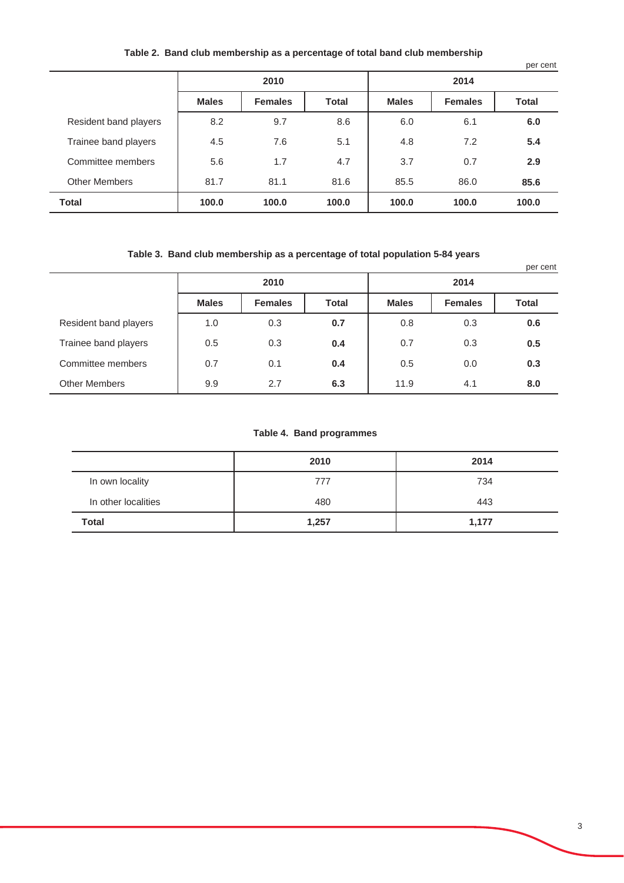### **Table 2. Band club membership as a percentage of total band club membership**

|                       |              |                |              |              |                | per cent     |  |
|-----------------------|--------------|----------------|--------------|--------------|----------------|--------------|--|
|                       | 2010         |                |              | 2014         |                |              |  |
|                       | <b>Males</b> | <b>Females</b> | <b>Total</b> | <b>Males</b> | <b>Females</b> | <b>Total</b> |  |
| Resident band players | 8.2          | 9.7            | 8.6          | 6.0          | 6.1            | 6.0          |  |
| Trainee band players  | 4.5          | 7.6            | 5.1          | 4.8          | 7.2            | 5.4          |  |
| Committee members     | 5.6          | 1.7            | 4.7          | 3.7          | 0.7            | 2.9          |  |
| <b>Other Members</b>  | 81.7         | 81.1           | 81.6         | 85.5         | 86.0           | 85.6         |  |
| <b>Total</b>          | 100.0        | 100.0          | 100.0        | 100.0        | 100.0          | 100.0        |  |

### **Table 3. Band club membership as a percentage of total population 5-84 years**

|                       |              |                |              |              |                | per cent     |  |  |
|-----------------------|--------------|----------------|--------------|--------------|----------------|--------------|--|--|
|                       | 2010         |                |              |              | 2014           |              |  |  |
|                       | <b>Males</b> | <b>Females</b> | <b>Total</b> | <b>Males</b> | <b>Females</b> | <b>Total</b> |  |  |
| Resident band players | 1.0          | 0.3            | 0.7          | 0.8          | 0.3            | 0.6          |  |  |
| Trainee band players  | 0.5          | 0.3            | 0.4          | 0.7          | 0.3            | 0.5          |  |  |
| Committee members     | 0.7          | 0.1            | 0.4          | 0.5          | 0.0            | 0.3          |  |  |
| <b>Other Members</b>  | 9.9          | 2.7            | 6.3          | 11.9         | 4.1            | 8.0          |  |  |

#### **Table 4. Band programmes**

|                     | 2010  | 2014  |
|---------------------|-------|-------|
| In own locality     | 777   | 734   |
| In other localities | 480   | 443   |
| Total               | 1,257 | 1,177 |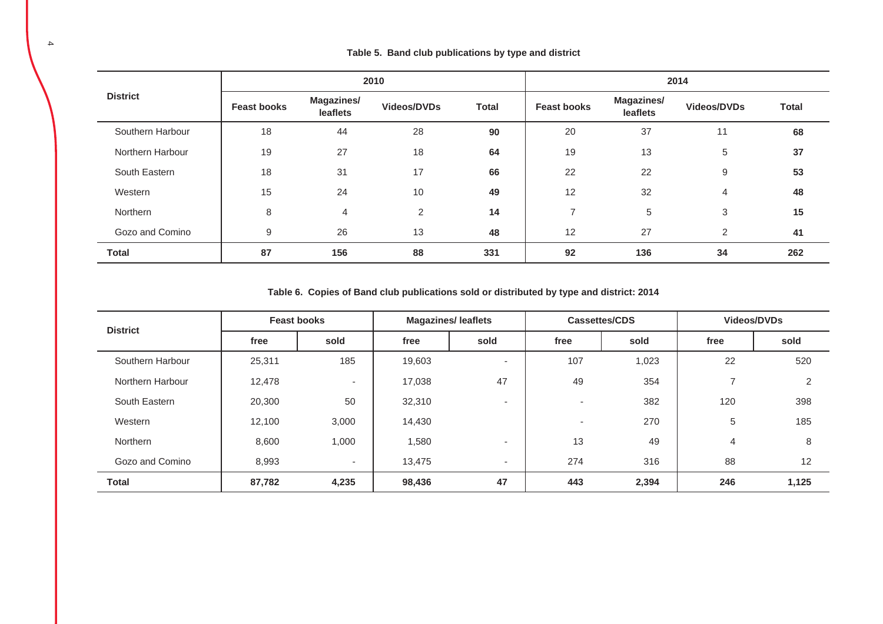|                  | 2010               |                               |                    |              | 2014               |                               |                    |              |
|------------------|--------------------|-------------------------------|--------------------|--------------|--------------------|-------------------------------|--------------------|--------------|
| <b>District</b>  | <b>Feast books</b> | <b>Magazines/</b><br>leaflets | <b>Videos/DVDs</b> | <b>Total</b> | <b>Feast books</b> | <b>Magazines/</b><br>leaflets | <b>Videos/DVDs</b> | <b>Total</b> |
| Southern Harbour | 18                 | 44                            | 28                 | 90           | 20                 | 37                            | 11                 | 68           |
| Northern Harbour | 19                 | 27                            | 18                 | 64           | 19                 | 13                            | 5                  | 37           |
| South Eastern    | 18                 | 31                            | 17                 | 66           | 22                 | 22                            | 9                  | 53           |
| Western          | 15                 | 24                            | 10                 | 49           | 12                 | 32                            | 4                  | 48           |
| Northern         | 8                  | $\overline{4}$                | 2                  | 14           | 7                  | 5                             | 3                  | 15           |
| Gozo and Comino  | 9                  | 26                            | 13                 | 48           | 12                 | 27                            | $\overline{2}$     | 41           |
| <b>Total</b>     | 87                 | 156                           | 88                 | 331          | 92                 | 136                           | 34                 | 262          |

**Table 6. Copies of Band club publications sold or distributed by type and district: 2014**

| <b>District</b>  | <b>Feast books</b> |        | <b>Magazines/leaflets</b> |                          |      | Videos/DVDs<br>Cassettes/CDS |      |                |
|------------------|--------------------|--------|---------------------------|--------------------------|------|------------------------------|------|----------------|
|                  | free               | sold   | free                      | sold                     | free | sold                         | free | sold           |
| Southern Harbour | 25,311             | 185    | 19,603                    |                          | 107  | 1,023                        | 22   | 520            |
| Northern Harbour | 12,478             | ۰.     | 17,038                    | 47                       | 49   | 354                          |      | $\overline{2}$ |
| South Eastern    | 20,300             | 50     | 32,310                    | $\overline{\phantom{a}}$ |      | 382                          | 120  | 398            |
| Western          | 12,100             | 3,000  | 14,430                    |                          | ۰    | 270                          | 5    | 185            |
| Northern         | 8,600              | 1,000  | 1,580                     | $\overline{\phantom{a}}$ | 13   | 49                           | 4    | 8              |
| Gozo and Comino  | 8,993              | $\sim$ | 13.475                    | $\overline{\phantom{a}}$ | 274  | 316                          | 88   | 12             |
| <b>Total</b>     | 87,782             | 4,235  | 98,436                    | 47                       | 443  | 2,394                        | 246  | 1,125          |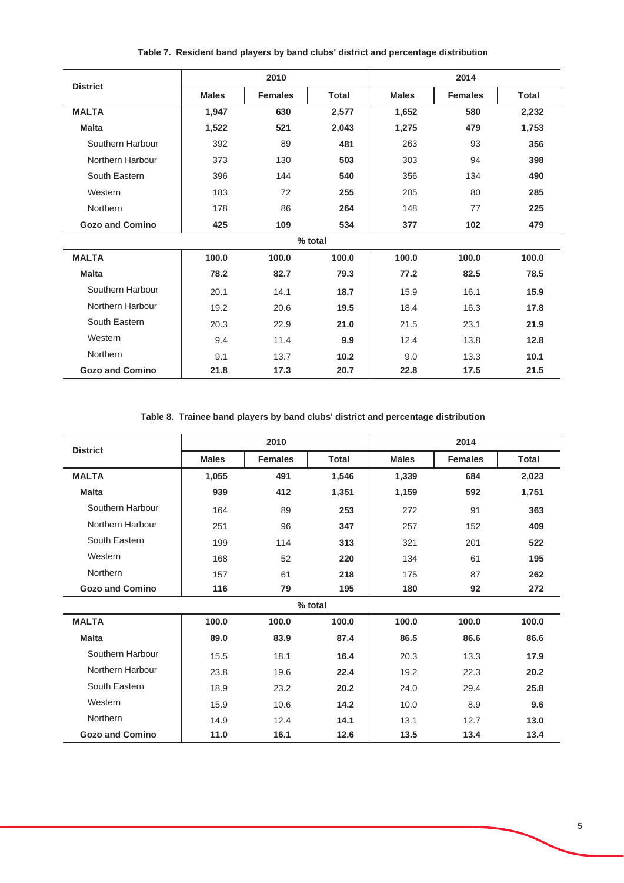|                        |              | 2010           |              |              | 2014           |              |
|------------------------|--------------|----------------|--------------|--------------|----------------|--------------|
| <b>District</b>        | <b>Males</b> | <b>Females</b> | <b>Total</b> | <b>Males</b> | <b>Females</b> | <b>Total</b> |
| <b>MALTA</b>           | 1,947        | 630            | 2,577        | 1,652        | 580            | 2,232        |
| <b>Malta</b>           | 1,522        | 521            | 2,043        | 1,275        | 479            | 1,753        |
| Southern Harbour       | 392          | 89             | 481          | 263          | 93             | 356          |
| Northern Harbour       | 373          | 130            | 503          | 303          | 94             | 398          |
| South Eastern          | 396          | 144            | 540          | 356          | 134            | 490          |
| Western                | 183          | 72             | 255          | 205          | 80             | 285          |
| Northern               | 178          | 86             | 264          | 148          | 77             | 225          |
| <b>Gozo and Comino</b> | 425          | 109            | 534          | 377          | 102            | 479          |
|                        |              |                | % total      |              |                |              |
| <b>MALTA</b>           | 100.0        | 100.0          | 100.0        | 100.0        | 100.0          | 100.0        |
| <b>Malta</b>           | 78.2         | 82.7           | 79.3         | 77.2         | 82.5           | 78.5         |
| Southern Harbour       | 20.1         | 14.1           | 18.7         | 15.9         | 16.1           | 15.9         |
| Northern Harbour       | 19.2         | 20.6           | 19.5         | 18.4         | 16.3           | 17.8         |
| South Eastern          | 20.3         | 22.9           | 21.0         | 21.5         | 23.1           | 21.9         |
| Western                | 9.4          | 11.4           | 9.9          | 12.4         | 13.8           | 12.8         |
| Northern               | 9.1          | 13.7           | 10.2         | 9.0          | 13.3           | 10.1         |
| <b>Gozo and Comino</b> | 21.8         | 17.3           | 20.7         | 22.8         | 17.5           | 21.5         |

**Table 7. Resident band players by band clubs' district and percentage distribution**

**Table 8. Trainee band players by band clubs' district and percentage distribution**

| <b>District</b>        |              | 2010           |              |              | 2014           |              |
|------------------------|--------------|----------------|--------------|--------------|----------------|--------------|
|                        | <b>Males</b> | <b>Females</b> | <b>Total</b> | <b>Males</b> | <b>Females</b> | <b>Total</b> |
| <b>MALTA</b>           | 1,055        | 491            | 1,546        | 1,339        | 684            | 2,023        |
| <b>Malta</b>           | 939          | 412            | 1,351        | 1,159        | 592            | 1,751        |
| Southern Harbour       | 164          | 89             | 253          | 272          | 91             | 363          |
| Northern Harbour       | 251          | 96             | 347          | 257          | 152            | 409          |
| South Eastern          | 199          | 114            | 313          | 321          | 201            | 522          |
| Western                | 168          | 52             | 220          | 134          | 61             | 195          |
| Northern               | 157          | 61             | 218          | 175          | 87             | 262          |
| <b>Gozo and Comino</b> | 116          | 79             | 195          | 180          | 92             | 272          |
|                        |              |                | % total      |              |                |              |
| <b>MALTA</b>           | 100.0        | 100.0          | 100.0        | 100.0        | 100.0          | 100.0        |
| <b>Malta</b>           | 89.0         | 83.9           | 87.4         | 86.5         | 86.6           | 86.6         |
| Southern Harbour       | 15.5         | 18.1           | 16.4         | 20.3         | 13.3           | 17.9         |
| Northern Harbour       | 23.8         | 19.6           | 22.4         | 19.2         | 22.3           | 20.2         |
| South Eastern          | 18.9         | 23.2           | 20.2         | 24.0         | 29.4           | 25.8         |
| Western                | 15.9         | 10.6           | 14.2         | 10.0         | 8.9            | 9.6          |
| Northern               | 14.9         | 12.4           | 14.1         | 13.1         | 12.7           | 13.0         |
| <b>Gozo and Comino</b> | 11.0         | 16.1           | 12.6         | 13.5         | 13.4           | 13.4         |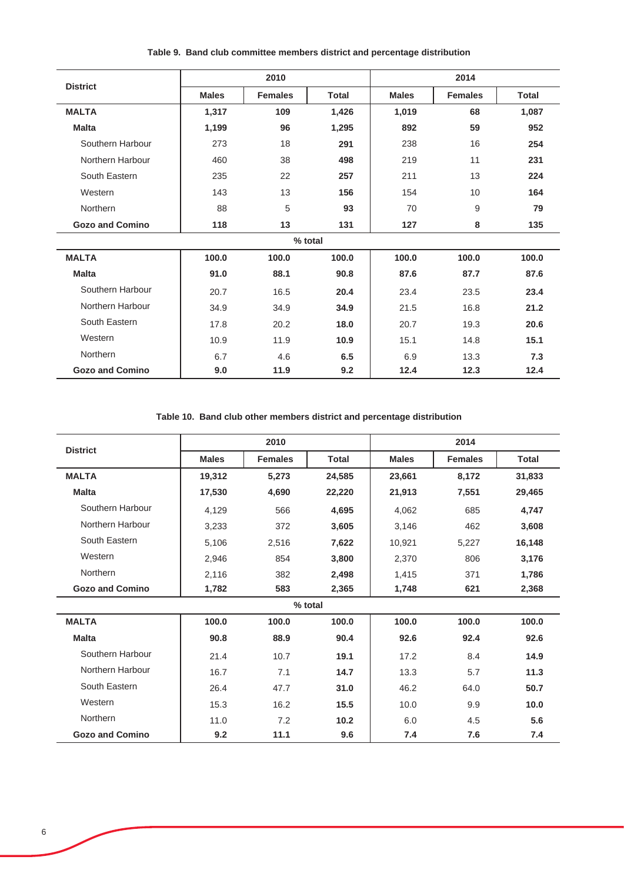|                        |              | 2010           |              |              | 2014           |              |
|------------------------|--------------|----------------|--------------|--------------|----------------|--------------|
| <b>District</b>        | <b>Males</b> | <b>Females</b> | <b>Total</b> | <b>Males</b> | <b>Females</b> | <b>Total</b> |
| <b>MALTA</b>           | 1,317        | 109            | 1,426        | 1,019        | 68             | 1,087        |
| <b>Malta</b>           | 1,199        | 96             | 1,295        | 892          | 59             | 952          |
| Southern Harbour       | 273          | 18             | 291          | 238          | 16             | 254          |
| Northern Harbour       | 460          | 38             | 498          | 219          | 11             | 231          |
| South Eastern          | 235          | 22             | 257          | 211          | 13             | 224          |
| Western                | 143          | 13             | 156          | 154          | 10             | 164          |
| Northern               | 88           | 5              | 93           | 70           | 9              | 79           |
| <b>Gozo and Comino</b> | 118          | 13             | 131          | 127          | 8              | 135          |
|                        |              |                | % total      |              |                |              |
| <b>MALTA</b>           | 100.0        | 100.0          | 100.0        | 100.0        | 100.0          | 100.0        |
| <b>Malta</b>           | 91.0         | 88.1           | 90.8         | 87.6         | 87.7           | 87.6         |
| Southern Harbour       | 20.7         | 16.5           | 20.4         | 23.4         | 23.5           | 23.4         |
| Northern Harbour       | 34.9         | 34.9           | 34.9         | 21.5         | 16.8           | 21.2         |
| South Eastern          | 17.8         | 20.2           | 18.0         | 20.7         | 19.3           | 20.6         |
| Western                | 10.9         | 11.9           | 10.9         | 15.1         | 14.8           | 15.1         |
| Northern               | 6.7          | 4.6            | 6.5          | 6.9          | 13.3           | 7.3          |
| <b>Gozo and Comino</b> | 9.0          | 11.9           | 9.2          | 12.4         | 12.3           | 12.4         |

**Table 9. Band club committee members district and percentage distribution**

**Table 10. Band club other members district and percentage distribution**

| <b>District</b>        |              | 2010           |              |              | 2014           |              |
|------------------------|--------------|----------------|--------------|--------------|----------------|--------------|
|                        | <b>Males</b> | <b>Females</b> | <b>Total</b> | <b>Males</b> | <b>Females</b> | <b>Total</b> |
| <b>MALTA</b>           | 19,312       | 5,273          | 24,585       | 23,661       | 8,172          | 31,833       |
| <b>Malta</b>           | 17,530       | 4,690          | 22,220       | 21,913       | 7,551          | 29,465       |
| Southern Harbour       | 4,129        | 566            | 4,695        | 4,062        | 685            | 4,747        |
| Northern Harbour       | 3,233        | 372            | 3,605        | 3,146        | 462            | 3,608        |
| South Eastern          | 5,106        | 2,516          | 7,622        | 10,921       | 5,227          | 16,148       |
| Western                | 2,946        | 854            | 3,800        | 2,370        | 806            | 3,176        |
| Northern               | 2,116        | 382            | 2,498        | 1,415        | 371            | 1,786        |
| <b>Gozo and Comino</b> | 1,782        | 583            | 2,365        | 1,748        | 621            | 2,368        |
|                        |              |                | % total      |              |                |              |
| <b>MALTA</b>           | 100.0        | 100.0          | 100.0        | 100.0        | 100.0          | 100.0        |
| <b>Malta</b>           | 90.8         | 88.9           | 90.4         | 92.6         | 92.4           | 92.6         |
| Southern Harbour       | 21.4         | 10.7           | 19.1         | 17.2         | 8.4            | 14.9         |
| Northern Harbour       | 16.7         | 7.1            | 14.7         | 13.3         | 5.7            | 11.3         |
| South Eastern          | 26.4         | 47.7           | 31.0         | 46.2         | 64.0           | 50.7         |
| Western                | 15.3         | 16.2           | 15.5         | 10.0         | 9.9            | 10.0         |
| Northern               | 11.0         | 7.2            | 10.2         | 6.0          | 4.5            | 5.6          |
| <b>Gozo and Comino</b> | 9.2          | 11.1           | 9.6          | 7.4          | 7.6            | 7.4          |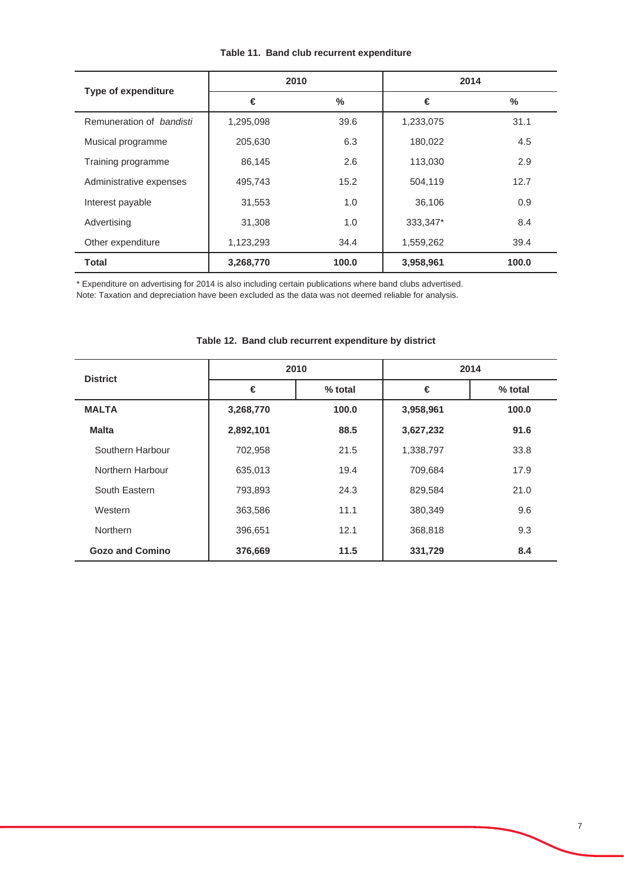| <b>Type of expenditure</b>      | 2010      |               | 2014      |       |  |
|---------------------------------|-----------|---------------|-----------|-------|--|
|                                 | €         | $\frac{0}{0}$ | €         | $\%$  |  |
| Remuneration of <i>bandisti</i> | 1,295,098 | 39.6          | 1,233,075 | 31.1  |  |
| Musical programme               | 205,630   | 6.3           | 180,022   | 4.5   |  |
| Training programme              | 86,145    | 2.6           | 113,030   | 2.9   |  |
| Administrative expenses         | 495,743   | 15.2          | 504,119   | 12.7  |  |
| Interest payable                | 31,553    | 1.0           | 36,106    | 0.9   |  |
| Advertising                     | 31,308    | 1.0           | 333,347*  | 8.4   |  |
| Other expenditure               | 1,123,293 | 34.4          | 1,559,262 | 39.4  |  |
| Total                           | 3,268,770 | 100.0         | 3,958,961 | 100.0 |  |

#### **Table 11. Band club recurrent expenditure**

\* Expenditure on advertising for 2014 is also including certain publications where band clubs advertised.

Note: Taxation and depreciation have been excluded as the data was not deemed reliable for analysis.

| <b>District</b>        |           | 2010    | 2014      |         |  |  |
|------------------------|-----------|---------|-----------|---------|--|--|
|                        | €         | % total | €         | % total |  |  |
| <b>MALTA</b>           | 3,268,770 | 100.0   | 3,958,961 | 100.0   |  |  |
| <b>Malta</b>           | 2,892,101 | 88.5    | 3,627,232 | 91.6    |  |  |
| Southern Harbour       | 702,958   | 21.5    | 1,338,797 | 33.8    |  |  |
| Northern Harbour       | 635,013   | 19.4    | 709,684   | 17.9    |  |  |
| South Eastern          | 793,893   | 24.3    | 829,584   | 21.0    |  |  |
| Western                | 363,586   | 11.1    | 380,349   | 9.6     |  |  |
| <b>Northern</b>        | 396,651   | 12.1    | 368,818   | 9.3     |  |  |
| <b>Gozo and Comino</b> | 376,669   | 11.5    | 331,729   | 8.4     |  |  |

### **Table 12. Band club recurrent expenditure by district**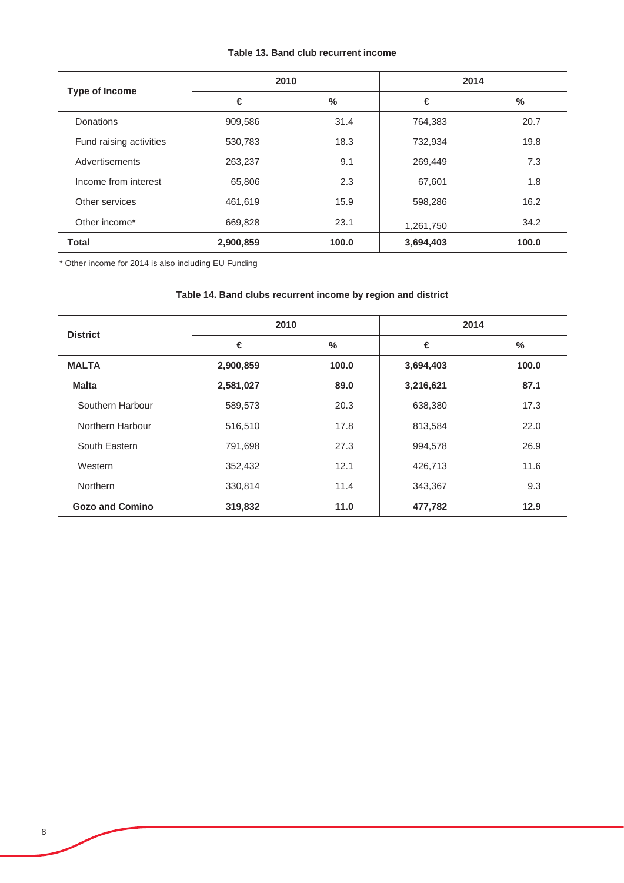### **Table 13. Band club recurrent income**

| <b>Type of Income</b>   | 2010      |       | 2014      |       |
|-------------------------|-----------|-------|-----------|-------|
|                         | €         | $\%$  | €         | %     |
| <b>Donations</b>        | 909,586   | 31.4  | 764,383   | 20.7  |
| Fund raising activities | 530,783   | 18.3  | 732,934   | 19.8  |
| Advertisements          | 263,237   | 9.1   | 269,449   | 7.3   |
| Income from interest    | 65,806    | 2.3   | 67,601    | 1.8   |
| Other services          | 461,619   | 15.9  | 598,286   | 16.2  |
| Other income*           | 669,828   | 23.1  | 1,261,750 | 34.2  |
| <b>Total</b>            | 2,900,859 | 100.0 | 3,694,403 | 100.0 |

\* Other income for 2014 is also including EU Funding

## **Table 14. Band clubs recurrent income by region and district**

| <b>District</b>        | 2010      |       | 2014      |               |
|------------------------|-----------|-------|-----------|---------------|
|                        | €         | %     | €         | $\frac{0}{0}$ |
| <b>MALTA</b>           | 2,900,859 | 100.0 | 3,694,403 | 100.0         |
| <b>Malta</b>           | 2,581,027 | 89.0  | 3,216,621 | 87.1          |
| Southern Harbour       | 589,573   | 20.3  | 638,380   | 17.3          |
| Northern Harbour       | 516,510   | 17.8  | 813,584   | 22.0          |
| South Eastern          | 791,698   | 27.3  | 994,578   | 26.9          |
| Western                | 352,432   | 12.1  | 426,713   | 11.6          |
| <b>Northern</b>        | 330,814   | 11.4  | 343,367   | 9.3           |
| <b>Gozo and Comino</b> | 319,832   | 11.0  | 477,782   | 12.9          |